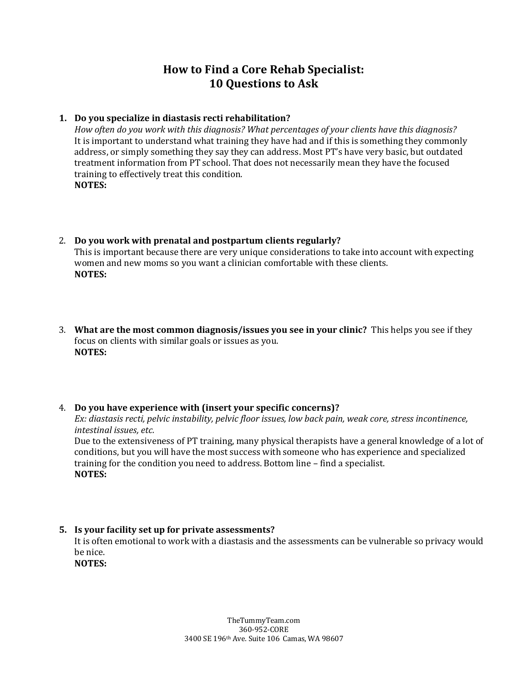# **How to Find a Core Rehab Specialist: 10 Questions to Ask**

## **1. Do you specialize in diastasis recti rehabilitation?**

*How often do you work with this diagnosis? What percentages of your clients have this diagnosis?*  It is important to understand what training they have had and if this is something they commonly address, or simply something they say they can address. Most PT's have very basic, but outdated treatment information from PT school. That does not necessarily mean they have the focused training to effectively treat this condition. **NOTES:** 

- 2. **Do you work with prenatal and postpartum clients regularly?** This is important because there are very unique considerations to take into account with expecting women and new moms so you want a clinician comfortable with these clients. **NOTES:**
- 3. **What are the most common diagnosis/issues you see in your clinic?** This helps you see if they focus on clients with similar goals or issues as you. **NOTES:**

4. **Do you have experience with (insert your specific concerns)?** *Ex: diastasis recti, pelvic instability, pelvic floor issues, low back pain, weak core, stress incontinence, intestinal issues, etc.* Due to the extensiveness of PT training, many physical therapists have a general knowledge of a lot of conditions, but you will have the most success with someone who has experience and specialized training for the condition you need to address. Bottom line – find a specialist. **NOTES:** 

**5. Is your facility set up for private assessments?**  It is often emotional to work with a diastasis and the assessments can be vulnerable so privacy would be nice. **NOTES:**